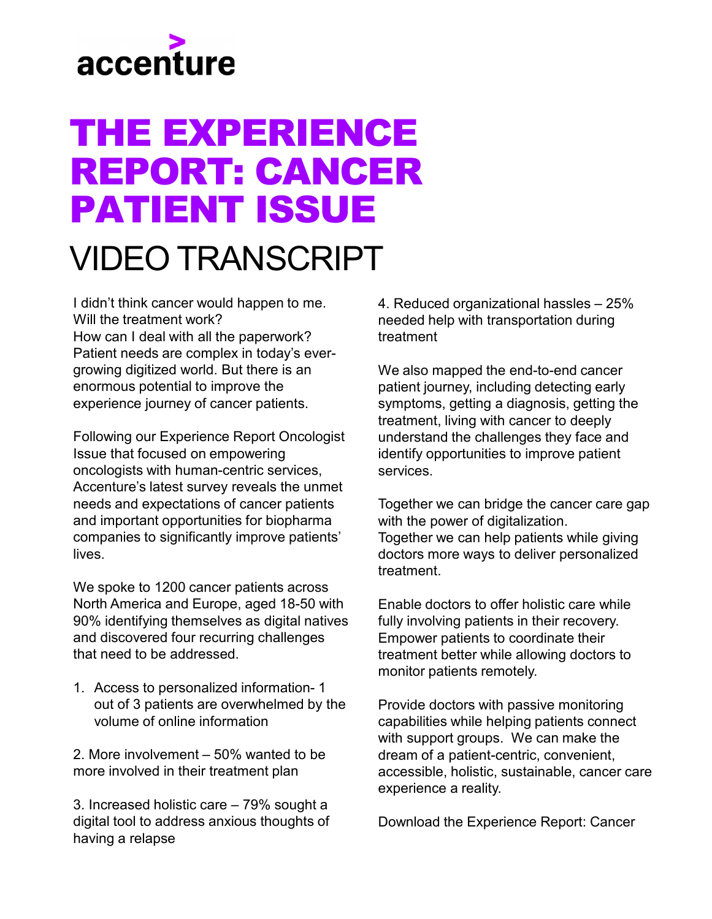## accenture

## THE EXPERIENCE REPORT: CANCER PATIENT ISSUE

## VIDEO TRANSCRIPT

I didn't think cancer would happen to me. Will the treatment work? How can I deal with all the paperwork? Patient needs are complex in today's evergrowing digitized world. But there is an enormous potential to improve the experience journey of cancer patients.

Following our Experience Report Oncologist Issue that focused on empowering oncologists with human-centric services, Accenture's latest survey reveals the unmet needs and expectations of cancer patients and important opportunities for biopharma companies to significantly improve patients' lives.

We spoke to 1200 cancer patients across North America and Europe, aged 18-50 with 90% identifying themselves as digital natives and discovered four recurring challenges that need to be addressed.

1. Access to personalized information- 1 out of 3 patients are overwhelmed by the volume of online information

2. More involvement – 50% wanted to be more involved in their treatment plan

3. Increased holistic care – 79% sought a digital tool to address anxious thoughts of having a relapse

4. Reduced organizational hassles – 25% needed help with transportation during treatment

We also mapped the end-to-end cancer patient journey, including detecting early symptoms, getting a diagnosis, getting the treatment, living with cancer to deeply understand the challenges they face and identify opportunities to improve patient services.

Together we can bridge the cancer care gap with the power of digitalization. Together we can help patients while giving doctors more ways to deliver personalized treatment.

Enable doctors to offer holistic care while fully involving patients in their recovery. Empower patients to coordinate their treatment better while allowing doctors to monitor patients remotely.

Provide doctors with passive monitoring capabilities while helping patients connect with support groups. We can make the dream of a patient-centric, convenient, accessible, holistic, sustainable, cancer care experience a reality.

Download the Experience Report: Cancer